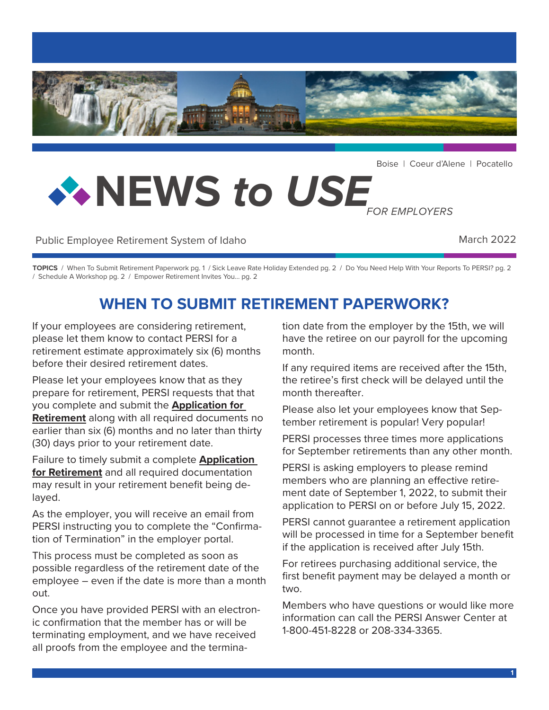

Boise | Coeur d'Alene | Pocatello

# **NEWS** *to USE FOR EMPLOYERS*

Public Employee Retirement System of Idaho March 2022

**TOPICS** / When To Submit Retirement Paperwork pg. 1 / Sick Leave Rate Holiday Extended pg. 2 / Do You Need Help With Your Reports To PERSI? pg. 2 / Schedule A Workshop pg. 2 / Empower Retirement Invites You... pg. 2

## **WHEN TO SUBMIT RETIREMENT PAPERWORK?**

If your employees are considering retirement, please let them know to contact PERSI for a retirement estimate approximately six (6) months before their desired retirement dates.

Please let your employees know that as they prepare for retirement, PERSI requests that that you complete and submit the **[Application for](https://www.persi.idaho.gov/docs/forms/RS121.pdf)  [Retirement](https://www.persi.idaho.gov/docs/forms/RS121.pdf)** along with all required documents no earlier than six (6) months and no later than thirty (30) days prior to your retirement date.

Failure to timely submit a complete **[Application](https://www.persi.idaho.gov/docs/forms/RS121.pdf)  [for Retirement](https://www.persi.idaho.gov/docs/forms/RS121.pdf)** and all required documentation may result in your retirement benefit being delayed.

As the employer, you will receive an email from PERSI instructing you to complete the "Confirmation of Termination" in the employer portal.

This process must be completed as soon as possible regardless of the retirement date of the employee – even if the date is more than a month out.

Once you have provided PERSI with an electronic confirmation that the member has or will be terminating employment, and we have received all proofs from the employee and the termination date from the employer by the 15th, we will have the retiree on our payroll for the upcoming month.

If any required items are received after the 15th, the retiree's first check will be delayed until the month thereafter.

Please also let your employees know that September retirement is popular! Very popular!

PERSI processes three times more applications for September retirements than any other month.

PERSI is asking employers to please remind members who are planning an effective retirement date of September 1, 2022, to submit their application to PERSI on or before July 15, 2022.

PERSI cannot guarantee a retirement application will be processed in time for a September benefit if the application is received after July 15th.

For retirees purchasing additional service, the first benefit payment may be delayed a month or two.

Members who have questions or would like more information can call the PERSI Answer Center at 1-800-451-8228 or 208-334-3365.